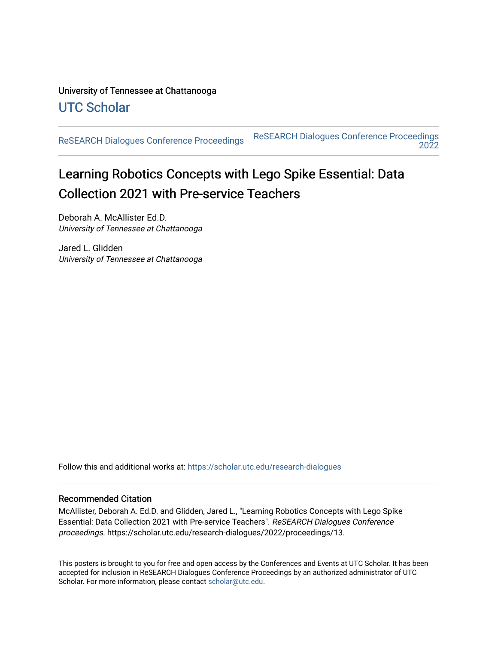#### University of Tennessee at Chattanooga [UTC Scholar](https://scholar.utc.edu/)

[ReSEARCH Dialogues Conference Proceedings](https://scholar.utc.edu/research-dialogues) [ReSEARCH Dialogues Conference Proceedings](https://scholar.utc.edu/research-dialogues/2022)  [2022](https://scholar.utc.edu/research-dialogues/2022) 

#### Learning Robotics Concepts with Lego Spike Essential: Data Collection 2021 with Pre-service Teachers

Deborah A. McAllister Ed.D. University of Tennessee at Chattanooga

Jared L. Glidden University of Tennessee at Chattanooga

Follow this and additional works at: [https://scholar.utc.edu/research-dialogues](https://scholar.utc.edu/research-dialogues?utm_source=scholar.utc.edu%2Fresearch-dialogues%2F2022%2Fproceedings%2F13&utm_medium=PDF&utm_campaign=PDFCoverPages) 

#### Recommended Citation

McAllister, Deborah A. Ed.D. and Glidden, Jared L., "Learning Robotics Concepts with Lego Spike Essential: Data Collection 2021 with Pre-service Teachers". ReSEARCH Dialogues Conference proceedings. https://scholar.utc.edu/research-dialogues/2022/proceedings/13.

This posters is brought to you for free and open access by the Conferences and Events at UTC Scholar. It has been accepted for inclusion in ReSEARCH Dialogues Conference Proceedings by an authorized administrator of UTC Scholar. For more information, please contact [scholar@utc.edu.](mailto:scholar@utc.edu)